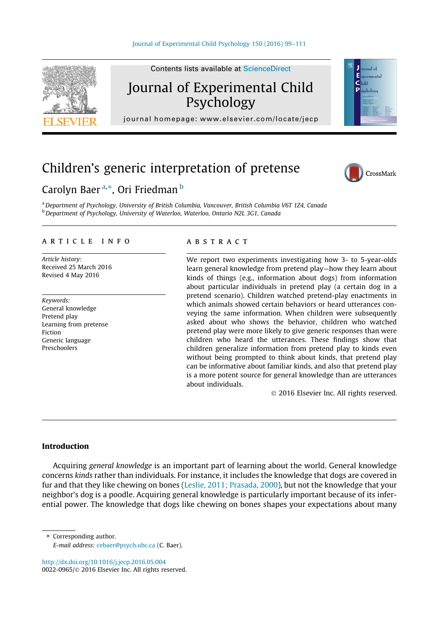

# Children's generic interpretation of pretense

## Carolyn Baer<sup>a,</sup>\*, Ori Friedman <sup>b</sup>

a Department of Psychology, University of British Columbia, Vancouver, British Columbia V6T 1Z4, Canada <sup>b</sup> Department of Psychology, University of Waterloo, Waterloo, Ontario N2L 3G1, Canada

## article info

Article history: Received 25 March 2016 Revised 4 May 2016

Keywords: General knowledge Pretend play Learning from pretense Fiction Generic language Preschoolers

#### **ABSTRACT**

We report two experiments investigating how 3- to 5-year-olds learn general knowledge from pretend play—how they learn about kinds of things (e.g., information about dogs) from information about particular individuals in pretend play (a certain dog in a pretend scenario). Children watched pretend-play enactments in which animals showed certain behaviors or heard utterances conveying the same information. When children were subsequently asked about who shows the behavior, children who watched pretend play were more likely to give generic responses than were children who heard the utterances. These findings show that children generalize information from pretend play to kinds even without being prompted to think about kinds, that pretend play can be informative about familiar kinds, and also that pretend play is a more potent source for general knowledge than are utterances about individuals.

2016 Elsevier Inc. All rights reserved.

#### Introduction

Acquiring general knowledge is an important part of learning about the world. General knowledge concerns kinds rather than individuals. For instance, it includes the knowledge that dogs are covered in fur and that they like chewing on bones ([Leslie, 2011; Prasada, 2000\)](#page-12-0), but not the knowledge that your neighbor's dog is a poodle. Acquiring general knowledge is particularly important because of its inferential power. The knowledge that dogs like chewing on bones shapes your expectations about many

⇑ Corresponding author. E-mail address: [cebaer@psych.ubc.ca](mailto:cebaer@psych.ubc.ca) (C. Baer).

<http://dx.doi.org/10.1016/j.jecp.2016.05.004> 0022-0965/© 2016 Elsevier Inc. All rights reserved.

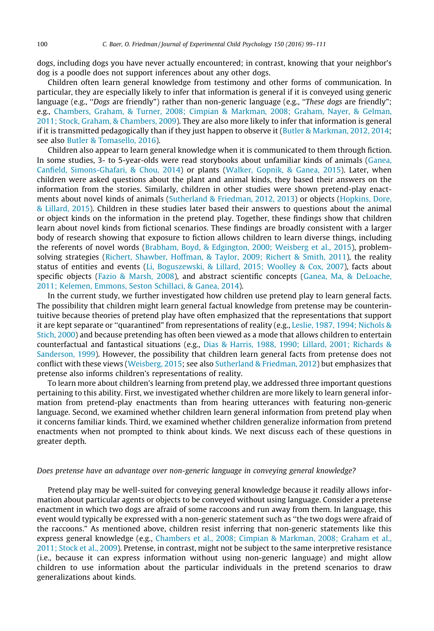dogs, including dogs you have never actually encountered; in contrast, knowing that your neighbor's dog is a poodle does not support inferences about any other dogs.

Children often learn general knowledge from testimony and other forms of communication. In particular, they are especially likely to infer that information is general if it is conveyed using generic language (e.g., ''Dogs are friendly") rather than non-generic language (e.g., ''These dogs are friendly"; e.g., [Chambers, Graham, & Turner, 2008; Cimpian & Markman, 2008; Graham, Nayer, & Gelman,](#page-11-0) [2011; Stock, Graham, & Chambers, 2009](#page-11-0)). They are also more likely to infer that information is general if it is transmitted pedagogically than if they just happen to observe it ([Butler & Markman, 2012, 2014;](#page-11-0) see also [Butler & Tomasello, 2016](#page-11-0)).

Children also appear to learn general knowledge when it is communicated to them through fiction. In some studies, 3- to 5-year-olds were read storybooks about unfamiliar kinds of animals [\(Ganea,](#page-11-0) [Canfield, Simons-Ghafari, & Chou, 2014\)](#page-11-0) or plants ([Walker, Gopnik, & Ganea, 2015\)](#page-12-0). Later, when children were asked questions about the plant and animal kinds, they based their answers on the information from the stories. Similarly, children in other studies were shown pretend-play enactments about novel kinds of animals [\(Sutherland & Friedman, 2012, 2013\)](#page-12-0) or objects ([Hopkins, Dore,](#page-11-0) [& Lillard, 2015\)](#page-11-0). Children in these studies later based their answers to questions about the animal or object kinds on the information in the pretend play. Together, these findings show that children learn about novel kinds from fictional scenarios. These findings are broadly consistent with a larger body of research showing that exposure to fiction allows children to learn diverse things, including the referents of novel words ([Brabham, Boyd, & Edgington, 2000; Weisberg et al., 2015](#page-11-0)), problemsolving strategies ([Richert, Shawber, Hoffman, & Taylor, 2009; Richert & Smith, 2011\)](#page-12-0), the reality status of entities and events ([Li, Boguszewski, & Lillard, 2015; Woolley & Cox, 2007\)](#page-12-0), facts about specific objects ([Fazio & Marsh, 2008\)](#page-11-0), and abstract scientific concepts [\(Ganea, Ma, & DeLoache,](#page-11-0) [2011; Kelemen, Emmons, Seston Schillaci, & Ganea, 2014\)](#page-11-0).

In the current study, we further investigated how children use pretend play to learn general facts. The possibility that children might learn general factual knowledge from pretense may be counterintuitive because theories of pretend play have often emphasized that the representations that support it are kept separate or ''quarantined" from representations of reality (e.g., [Leslie, 1987, 1994; Nichols &](#page-11-0) [Stich, 2000](#page-11-0)) and because pretending has often been viewed as a mode that allows children to entertain counterfactual and fantastical situations (e.g., [Dias & Harris, 1988, 1990; Lillard, 2001; Richards &](#page-11-0) [Sanderson, 1999\)](#page-11-0). However, the possibility that children learn general facts from pretense does not conflict with these views ([Weisberg, 2015](#page-12-0); see also [Sutherland & Friedman, 2012\)](#page-12-0) but emphasizes that pretense also informs children's representations of reality.

To learn more about children's learning from pretend play, we addressed three important questions pertaining to this ability. First, we investigated whether children are more likely to learn general information from pretend-play enactments than from hearing utterances with featuring non-generic language. Second, we examined whether children learn general information from pretend play when it concerns familiar kinds. Third, we examined whether children generalize information from pretend enactments when not prompted to think about kinds. We next discuss each of these questions in greater depth.

## Does pretense have an advantage over non-generic language in conveying general knowledge?

Pretend play may be well-suited for conveying general knowledge because it readily allows information about particular agents or objects to be conveyed without using language. Consider a pretense enactment in which two dogs are afraid of some raccoons and run away from them. In language, this event would typically be expressed with a non-generic statement such as ''the two dogs were afraid of the raccoons." As mentioned above, children resist inferring that non-generic statements like this express general knowledge (e.g., [Chambers et al., 2008; Cimpian & Markman, 2008; Graham et al.,](#page-11-0) [2011; Stock et al., 2009\)](#page-11-0). Pretense, in contrast, might not be subject to the same interpretive resistance (i.e., because it can express information without using non-generic language) and might allow children to use information about the particular individuals in the pretend scenarios to draw generalizations about kinds.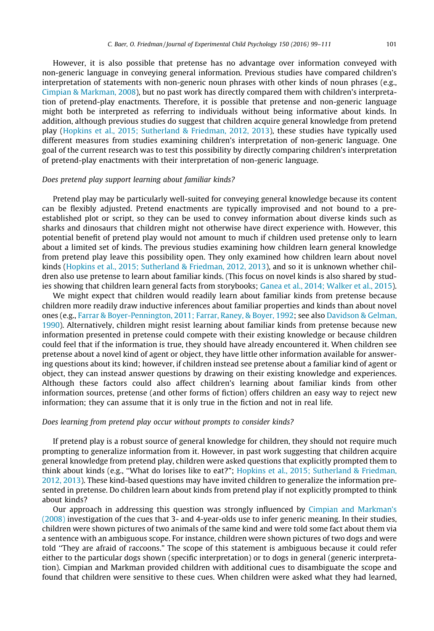However, it is also possible that pretense has no advantage over information conveyed with non-generic language in conveying general information. Previous studies have compared children's interpretation of statements with non-generic noun phrases with other kinds of noun phrases (e.g., [Cimpian & Markman, 2008\)](#page-11-0), but no past work has directly compared them with children's interpretation of pretend-play enactments. Therefore, it is possible that pretense and non-generic language might both be interpreted as referring to individuals without being informative about kinds. In addition, although previous studies do suggest that children acquire general knowledge from pretend play ([Hopkins et al., 2015; Sutherland & Friedman, 2012, 2013\)](#page-11-0), these studies have typically used different measures from studies examining children's interpretation of non-generic language. One goal of the current research was to test this possibility by directly comparing children's interpretation of pretend-play enactments with their interpretation of non-generic language.

## Does pretend play support learning about familiar kinds?

Pretend play may be particularly well-suited for conveying general knowledge because its content can be flexibly adjusted. Pretend enactments are typically improvised and not bound to a preestablished plot or script, so they can be used to convey information about diverse kinds such as sharks and dinosaurs that children might not otherwise have direct experience with. However, this potential benefit of pretend play would not amount to much if children used pretense only to learn about a limited set of kinds. The previous studies examining how children learn general knowledge from pretend play leave this possibility open. They only examined how children learn about novel kinds [\(Hopkins et al., 2015; Sutherland & Friedman, 2012, 2013\)](#page-11-0), and so it is unknown whether children also use pretense to learn about familiar kinds. (This focus on novel kinds is also shared by studies showing that children learn general facts from storybooks; [Ganea et al., 2014; Walker et al., 2015\)](#page-11-0).

We might expect that children would readily learn about familiar kinds from pretense because children more readily draw inductive inferences about familiar properties and kinds than about novel ones (e.g., [Farrar & Boyer-Pennington, 2011; Farrar, Raney, & Boyer, 1992;](#page-11-0) see also [Davidson & Gelman,](#page-11-0) [1990](#page-11-0)). Alternatively, children might resist learning about familiar kinds from pretense because new information presented in pretense could compete with their existing knowledge or because children could feel that if the information is true, they should have already encountered it. When children see pretense about a novel kind of agent or object, they have little other information available for answering questions about its kind; however, if children instead see pretense about a familiar kind of agent or object, they can instead answer questions by drawing on their existing knowledge and experiences. Although these factors could also affect children's learning about familiar kinds from other information sources, pretense (and other forms of fiction) offers children an easy way to reject new information; they can assume that it is only true in the fiction and not in real life.

#### Does learning from pretend play occur without prompts to consider kinds?

If pretend play is a robust source of general knowledge for children, they should not require much prompting to generalize information from it. However, in past work suggesting that children acquire general knowledge from pretend play, children were asked questions that explicitly prompted them to think about kinds (e.g., ''What do lorises like to eat?"; [Hopkins et al., 2015; Sutherland & Friedman,](#page-11-0) [2012, 2013](#page-11-0)). These kind-based questions may have invited children to generalize the information presented in pretense. Do children learn about kinds from pretend play if not explicitly prompted to think about kinds?

Our approach in addressing this question was strongly influenced by [Cimpian and Markman's](#page-11-0) [\(2008\)](#page-11-0) investigation of the cues that 3- and 4-year-olds use to infer generic meaning. In their studies, children were shown pictures of two animals of the same kind and were told some fact about them via a sentence with an ambiguous scope. For instance, children were shown pictures of two dogs and were told ''They are afraid of raccoons." The scope of this statement is ambiguous because it could refer either to the particular dogs shown (specific interpretation) or to dogs in general (generic interpretation). Cimpian and Markman provided children with additional cues to disambiguate the scope and found that children were sensitive to these cues. When children were asked what they had learned,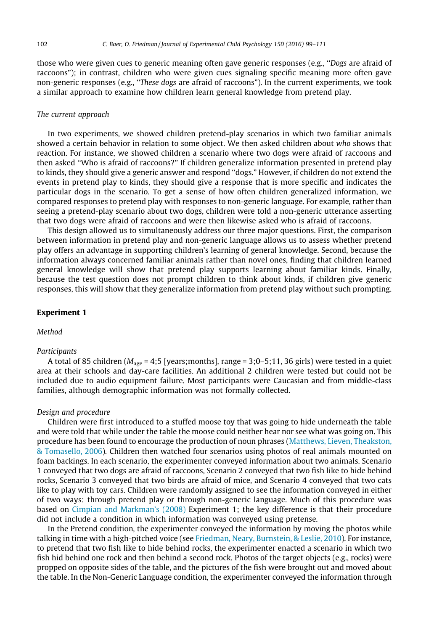those who were given cues to generic meaning often gave generic responses (e.g., ''Dogs are afraid of raccoons"); in contrast, children who were given cues signaling specific meaning more often gave non-generic responses (e.g., ''These dogs are afraid of raccoons"). In the current experiments, we took a similar approach to examine how children learn general knowledge from pretend play.

## The current approach

In two experiments, we showed children pretend-play scenarios in which two familiar animals showed a certain behavior in relation to some object. We then asked children about who shows that reaction. For instance, we showed children a scenario where two dogs were afraid of raccoons and then asked ''Who is afraid of raccoons?" If children generalize information presented in pretend play to kinds, they should give a generic answer and respond ''dogs." However, if children do not extend the events in pretend play to kinds, they should give a response that is more specific and indicates the particular dogs in the scenario. To get a sense of how often children generalized information, we compared responses to pretend play with responses to non-generic language. For example, rather than seeing a pretend-play scenario about two dogs, children were told a non-generic utterance asserting that two dogs were afraid of raccoons and were then likewise asked who is afraid of raccoons.

This design allowed us to simultaneously address our three major questions. First, the comparison between information in pretend play and non-generic language allows us to assess whether pretend play offers an advantage in supporting children's learning of general knowledge. Second, because the information always concerned familiar animals rather than novel ones, finding that children learned general knowledge will show that pretend play supports learning about familiar kinds. Finally, because the test question does not prompt children to think about kinds, if children give generic responses, this will show that they generalize information from pretend play without such prompting.

## Experiment 1

## Method

#### Participants

A total of 85 children ( $M_{\text{age}}$  = 4;5 [years;months], range = 3;0–5;11, 36 girls) were tested in a quiet area at their schools and day-care facilities. An additional 2 children were tested but could not be included due to audio equipment failure. Most participants were Caucasian and from middle-class families, although demographic information was not formally collected.

## Design and procedure

Children were first introduced to a stuffed moose toy that was going to hide underneath the table and were told that while under the table the moose could neither hear nor see what was going on. This procedure has been found to encourage the production of noun phrases ([Matthews, Lieven, Theakston,](#page-12-0) [& Tomasello, 2006](#page-12-0)). Children then watched four scenarios using photos of real animals mounted on foam backings. In each scenario, the experimenter conveyed information about two animals. Scenario 1 conveyed that two dogs are afraid of raccoons, Scenario 2 conveyed that two fish like to hide behind rocks, Scenario 3 conveyed that two birds are afraid of mice, and Scenario 4 conveyed that two cats like to play with toy cars. Children were randomly assigned to see the information conveyed in either of two ways: through pretend play or through non-generic language. Much of this procedure was based on [Cimpian and Markman's \(2008\)](#page-11-0) Experiment 1; the key difference is that their procedure did not include a condition in which information was conveyed using pretense.

In the Pretend condition, the experimenter conveyed the information by moving the photos while talking in time with a high-pitched voice (see [Friedman, Neary, Burnstein, & Leslie, 2010](#page-11-0)). For instance, to pretend that two fish like to hide behind rocks, the experimenter enacted a scenario in which two fish hid behind one rock and then behind a second rock. Photos of the target objects (e.g., rocks) were propped on opposite sides of the table, and the pictures of the fish were brought out and moved about the table. In the Non-Generic Language condition, the experimenter conveyed the information through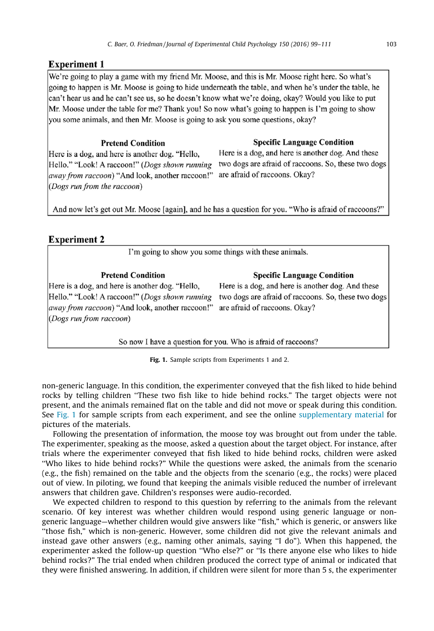## <span id="page-4-0"></span>**Experiment 1**

We're going to play a game with my friend Mr. Moose, and this is Mr. Moose right here. So what's going to happen is Mr. Moose is going to hide underneath the table, and when he's under the table, he can't hear us and he can't see us, so he doesn't know what we're doing, okay? Would you like to put Mr. Moose under the table for me? Thank you! So now what's going to happen is I'm going to show you some animals, and then Mr. Moose is going to ask you some questions, okay?

## **Pretend Condition**

Here is a dog, and here is another dog. "Hello, Hello." "Look! A raccoon!" (Dogs shown running away from raccoon) "And look, another raccoon!" (Dogs run from the raccoon)

**Specific Language Condition** 

Here is a dog, and here is another dog. And these two dogs are afraid of raccoons. So, these two dogs are afraid of raccoons. Okav?

And now let's get out Mr. Moose [again], and he has a question for you. "Who is afraid of raccoons?"

## **Experiment 2**

I'm going to show you some things with these animals.

**Pretend Condition** Here is a dog, and here is another dog. "Hello, Hello." "Look! A raccoon!" (Dogs shown running away from raccoon) "And look, another raccoon!" (Dogs run from raccoon)

## **Specific Language Condition**

Here is a dog, and here is another dog. And these two dogs are afraid of raccoons. So, these two dogs are afraid of raccoons. Okay?

So now I have a question for you. Who is afraid of raccoons?

Fig. 1. Sample scripts from Experiments 1 and 2.

non-generic language. In this condition, the experimenter conveyed that the fish liked to hide behind rocks by telling children ''These two fish like to hide behind rocks." The target objects were not present, and the animals remained flat on the table and did not move or speak during this condition. See Fig. 1 for sample scripts from each experiment, and see the online supplementary material for pictures of the materials.

Following the presentation of information, the moose toy was brought out from under the table. The experimenter, speaking as the moose, asked a question about the target object. For instance, after trials where the experimenter conveyed that fish liked to hide behind rocks, children were asked ''Who likes to hide behind rocks?" While the questions were asked, the animals from the scenario (e.g., the fish) remained on the table and the objects from the scenario (e.g., the rocks) were placed out of view. In piloting, we found that keeping the animals visible reduced the number of irrelevant answers that children gave. Children's responses were audio-recorded.

We expected children to respond to this question by referring to the animals from the relevant scenario. Of key interest was whether children would respond using generic language or nongeneric language—whether children would give answers like ''fish," which is generic, or answers like ''those fish," which is non-generic. However, some children did not give the relevant animals and instead gave other answers (e.g., naming other animals, saying ''I do"). When this happened, the experimenter asked the follow-up question ''Who else?" or ''Is there anyone else who likes to hide behind rocks?" The trial ended when children produced the correct type of animal or indicated that they were finished answering. In addition, if children were silent for more than 5 s, the experimenter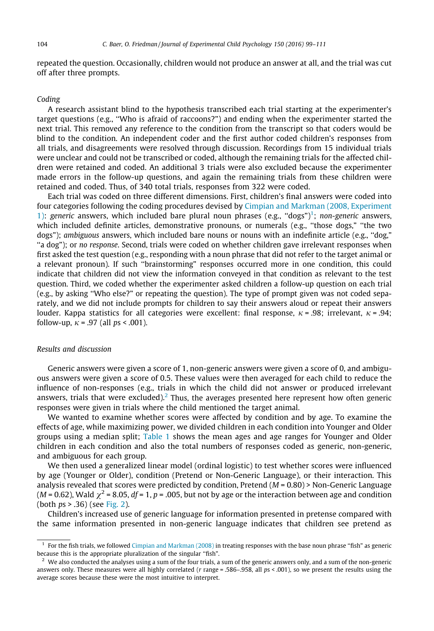repeated the question. Occasionally, children would not produce an answer at all, and the trial was cut off after three prompts.

## Coding

A research assistant blind to the hypothesis transcribed each trial starting at the experimenter's target questions (e.g., ''Who is afraid of raccoons?") and ending when the experimenter started the next trial. This removed any reference to the condition from the transcript so that coders would be blind to the condition. An independent coder and the first author coded children's responses from all trials, and disagreements were resolved through discussion. Recordings from 15 individual trials were unclear and could not be transcribed or coded, although the remaining trials for the affected children were retained and coded. An additional 3 trials were also excluded because the experimenter made errors in the follow-up questions, and again the remaining trials from these children were retained and coded. Thus, of 340 total trials, responses from 322 were coded.

Each trial was coded on three different dimensions. First, children's final answers were coded into four categories following the coding procedures devised by [Cimpian and Markman \(2008, Experiment](#page-11-0) [1\):](#page-11-0) generic answers, which included bare plural noun phrases (e.g., "dogs")<sup>1</sup>; non-generic answers, which included definite articles, demonstrative pronouns, or numerals (e.g., "those dogs," "the two dogs"); ambiguous answers, which included bare nouns or nouns with an indefinite article (e.g., ''dog," "a dog"); or no response. Second, trials were coded on whether children gave irrelevant responses when first asked the test question (e.g., responding with a noun phrase that did not refer to the target animal or a relevant pronoun). If such ''brainstorming" responses occurred more in one condition, this could indicate that children did not view the information conveyed in that condition as relevant to the test question. Third, we coded whether the experimenter asked children a follow-up question on each trial (e.g., by asking ''Who else?" or repeating the question). The type of prompt given was not coded separately, and we did not include prompts for children to say their answers aloud or repeat their answers louder. Kappa statistics for all categories were excellent: final response,  $\kappa = .98$ ; irrelevant,  $\kappa = .94$ ; follow-up,  $\kappa$  = .97 (all ps < .001).

## Results and discussion

Generic answers were given a score of 1, non-generic answers were given a score of 0, and ambiguous answers were given a score of 0.5. These values were then averaged for each child to reduce the influence of non-responses (e.g., trials in which the child did not answer or produced irrelevant answers, trials that were excluded).<sup>2</sup> Thus, the averages presented here represent how often generic responses were given in trials where the child mentioned the target animal.

We wanted to examine whether scores were affected by condition and by age. To examine the effects of age, while maximizing power, we divided children in each condition into Younger and Older groups using a median split; [Table 1](#page-6-0) shows the mean ages and age ranges for Younger and Older children in each condition and also the total numbers of responses coded as generic, non-generic, and ambiguous for each group.

We then used a generalized linear model (ordinal logistic) to test whether scores were influenced by age (Younger or Older), condition (Pretend or Non-Generic Language), or their interaction. This analysis revealed that scores were predicted by condition, Pretend  $(M = 0.80)$  > Non-Generic Language ( $M = 0.62$ ), Wald  $\chi^2 = 8.05$ ,  $df = 1$ ,  $p = .005$ , but not by age or the interaction between age and condition  $(both \, ps > .36)$  (see [Fig. 2\)](#page-6-0).

Children's increased use of generic language for information presented in pretense compared with the same information presented in non-generic language indicates that children see pretend as

 $^{\rm 1}$  For the fish trials, we followed [Cimpian and Markman \(2008\)](#page-11-0) in treating responses with the base noun phrase "fish" as generic because this is the appropriate pluralization of the singular ''fish".

 $2\,$  We also conducted the analyses using a sum of the four trials, a sum of the generic answers only, and a sum of the non-generic answers only. These measures were all highly correlated (r range = .586–.958, all  $ps < .001$ ), so we present the results using the average scores because these were the most intuitive to interpret.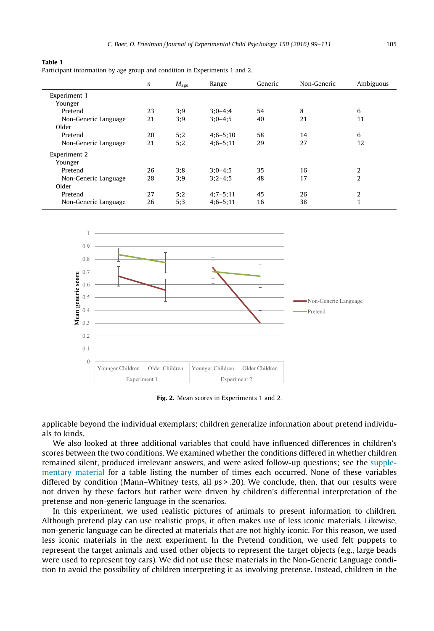<span id="page-6-0"></span>Table 1 Participant information by age group and condition in Experiments 1 and 2.

|                      | $\boldsymbol{n}$ | $M_{\text{age}}$ | Range        | Generic | Non-Generic | Ambiguous      |
|----------------------|------------------|------------------|--------------|---------|-------------|----------------|
| Experiment 1         |                  |                  |              |         |             |                |
| Younger              |                  |                  |              |         |             |                |
| Pretend              | 23               | 3:9              | $3:0-4:4$    | 54      | 8           | 6              |
| Non-Generic Language | 21               | 3:9              | $3:0-4:5$    | 40      | 21          | 11             |
| Older                |                  |                  |              |         |             |                |
| Pretend              | 20               | 5:2              | $4:6 - 5:10$ | 58      | 14          | 6              |
| Non-Generic Language | 21               | 5:2              | $4:6 - 5:11$ | 29      | 27          | 12             |
| Experiment 2         |                  |                  |              |         |             |                |
| Younger              |                  |                  |              |         |             |                |
| Pretend              | 26               | 3:8              | $3:0-4:5$    | 35      | 16          | $\overline{2}$ |
| Non-Generic Language | 28               | 3:9              | $3:2-4:5$    | 48      | 17          | $\overline{2}$ |
| Older                |                  |                  |              |         |             |                |
| Pretend              | 27               | 5:2              | $4:7-5:11$   | 45      | 26          | $\overline{2}$ |
| Non-Generic Language | 26               | 5:3              | $4:6 - 5:11$ | 16      | 38          |                |



Fig. 2. Mean scores in Experiments 1 and 2.

applicable beyond the individual exemplars; children generalize information about pretend individuals to kinds.

We also looked at three additional variables that could have influenced differences in children's scores between the two conditions. We examined whether the conditions differed in whether children remained silent, produced irrelevant answers, and were asked follow-up questions; see the supplementary material for a table listing the number of times each occurred. None of these variables differed by condition (Mann–Whitney tests, all  $ps > .20$ ). We conclude, then, that our results were not driven by these factors but rather were driven by children's differential interpretation of the pretense and non-generic language in the scenarios.

In this experiment, we used realistic pictures of animals to present information to children. Although pretend play can use realistic props, it often makes use of less iconic materials. Likewise, non-generic language can be directed at materials that are not highly iconic. For this reason, we used less iconic materials in the next experiment. In the Pretend condition, we used felt puppets to represent the target animals and used other objects to represent the target objects (e.g., large beads were used to represent toy cars). We did not use these materials in the Non-Generic Language condition to avoid the possibility of children interpreting it as involving pretense. Instead, children in the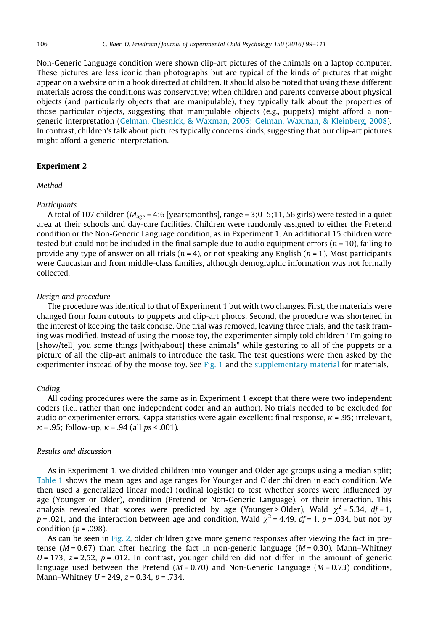Non-Generic Language condition were shown clip-art pictures of the animals on a laptop computer. These pictures are less iconic than photographs but are typical of the kinds of pictures that might appear on a website or in a book directed at children. It should also be noted that using these different materials across the conditions was conservative; when children and parents converse about physical objects (and particularly objects that are manipulable), they typically talk about the properties of those particular objects, suggesting that manipulable objects (e.g., puppets) might afford a nongeneric interpretation ([Gelman, Chesnick, & Waxman, 2005; Gelman, Waxman, & Kleinberg, 2008](#page-11-0)). In contrast, children's talk about pictures typically concerns kinds, suggesting that our clip-art pictures might afford a generic interpretation.

## Experiment 2

#### **Method**

#### Participants

A total of 107 children ( $M_{\text{age}} = 4.6$  [years; months], range = 3:0–5:11, 56 girls) were tested in a quiet area at their schools and day-care facilities. Children were randomly assigned to either the Pretend condition or the Non-Generic Language condition, as in Experiment 1. An additional 15 children were tested but could not be included in the final sample due to audio equipment errors ( $n = 10$ ), failing to provide any type of answer on all trials  $(n = 4)$ , or not speaking any English  $(n = 1)$ . Most participants were Caucasian and from middle-class families, although demographic information was not formally collected.

#### Design and procedure

The procedure was identical to that of Experiment 1 but with two changes. First, the materials were changed from foam cutouts to puppets and clip-art photos. Second, the procedure was shortened in the interest of keeping the task concise. One trial was removed, leaving three trials, and the task framing was modified. Instead of using the moose toy, the experimenter simply told children ''I'm going to [show/tell] you some things [with/about] these animals" while gesturing to all of the puppets or a picture of all the clip-art animals to introduce the task. The test questions were then asked by the experimenter instead of by the moose toy. See [Fig. 1](#page-4-0) and the supplementary material for materials.

#### Coding

All coding procedures were the same as in Experiment 1 except that there were two independent coders (i.e., rather than one independent coder and an author). No trials needed to be excluded for audio or experimenter errors. Kappa statistics were again excellent: final response,  $\kappa$  = .95; irrelevant,  $\kappa$  = .95; follow-up,  $\kappa$  = .94 (all ps < .001).

## Results and discussion

As in Experiment 1, we divided children into Younger and Older age groups using a median split; [Table 1](#page-6-0) shows the mean ages and age ranges for Younger and Older children in each condition. We then used a generalized linear model (ordinal logistic) to test whether scores were influenced by age (Younger or Older), condition (Pretend or Non-Generic Language), or their interaction. This analysis revealed that scores were predicted by age (Younger > Older), Wald  $\chi^2$  = 5.34, df = 1,  $p = .021$ , and the interaction between age and condition, Wald  $\chi^2$  = 4.49, df = 1, p = .034, but not by condition ( $p = .098$ ).

As can be seen in [Fig. 2](#page-6-0), older children gave more generic responses after viewing the fact in pretense ( $M = 0.67$ ) than after hearing the fact in non-generic language ( $M = 0.30$ ), Mann–Whitney  $U = 173$ ,  $z = 2.52$ ,  $p = .012$ . In contrast, younger children did not differ in the amount of generic language used between the Pretend ( $M = 0.70$ ) and Non-Generic Language ( $M = 0.73$ ) conditions, Mann–Whitney  $U = 249$ ,  $z = 0.34$ ,  $p = .734$ .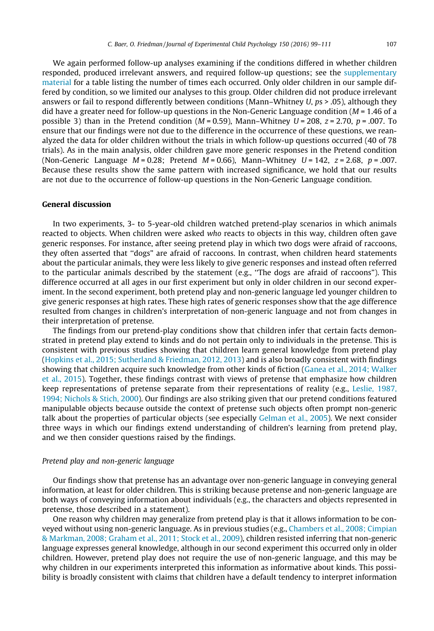We again performed follow-up analyses examining if the conditions differed in whether children responded, produced irrelevant answers, and required follow-up questions; see the supplementary material for a table listing the number of times each occurred. Only older children in our sample differed by condition, so we limited our analyses to this group. Older children did not produce irrelevant answers or fail to respond differently between conditions (Mann–Whitney  $U$ , ps > .05), although they did have a greater need for follow-up questions in the Non-Generic Language condition ( $M = 1.46$  of a possible 3) than in the Pretend condition ( $M = 0.59$ ), Mann–Whitney U = 208,  $z = 2.70$ ,  $p = .007$ . To ensure that our findings were not due to the difference in the occurrence of these questions, we reanalyzed the data for older children without the trials in which follow-up questions occurred (40 of 78 trials). As in the main analysis, older children gave more generic responses in the Pretend condition (Non-Generic Language  $M = 0.28$ ; Pretend  $M = 0.66$ ), Mann–Whitney  $U = 142$ ,  $z = 2.68$ ,  $p = .007$ . Because these results show the same pattern with increased significance, we hold that our results are not due to the occurrence of follow-up questions in the Non-Generic Language condition.

#### General discussion

In two experiments, 3- to 5-year-old children watched pretend-play scenarios in which animals reacted to objects. When children were asked who reacts to objects in this way, children often gave generic responses. For instance, after seeing pretend play in which two dogs were afraid of raccoons, they often asserted that ''dogs" are afraid of raccoons. In contrast, when children heard statements about the particular animals, they were less likely to give generic responses and instead often referred to the particular animals described by the statement (e.g., "The dogs are afraid of raccoons"). This difference occurred at all ages in our first experiment but only in older children in our second experiment. In the second experiment, both pretend play and non-generic language led younger children to give generic responses at high rates. These high rates of generic responses show that the age difference resulted from changes in children's interpretation of non-generic language and not from changes in their interpretation of pretense.

The findings from our pretend-play conditions show that children infer that certain facts demonstrated in pretend play extend to kinds and do not pertain only to individuals in the pretense. This is consistent with previous studies showing that children learn general knowledge from pretend play [\(Hopkins et al., 2015; Sutherland & Friedman, 2012, 2013](#page-11-0)) and is also broadly consistent with findings showing that children acquire such knowledge from other kinds of fiction [\(Ganea et al., 2014; Walker](#page-11-0) [et al., 2015](#page-11-0)). Together, these findings contrast with views of pretense that emphasize how children keep representations of pretense separate from their representations of reality (e.g., [Leslie, 1987,](#page-11-0) [1994; Nichols & Stich, 2000](#page-11-0)). Our findings are also striking given that our pretend conditions featured manipulable objects because outside the context of pretense such objects often prompt non-generic talk about the properties of particular objects (see especially [Gelman et al., 2005](#page-11-0)). We next consider three ways in which our findings extend understanding of children's learning from pretend play, and we then consider questions raised by the findings.

#### Pretend play and non-generic language

Our findings show that pretense has an advantage over non-generic language in conveying general information, at least for older children. This is striking because pretense and non-generic language are both ways of conveying information about individuals (e.g., the characters and objects represented in pretense, those described in a statement).

One reason why children may generalize from pretend play is that it allows information to be conveyed without using non-generic language. As in previous studies (e.g., [Chambers et al., 2008; Cimpian](#page-11-0) [& Markman, 2008; Graham et al., 2011; Stock et al., 2009\)](#page-11-0), children resisted inferring that non-generic language expresses general knowledge, although in our second experiment this occurred only in older children. However, pretend play does not require the use of non-generic language, and this may be why children in our experiments interpreted this information as informative about kinds. This possibility is broadly consistent with claims that children have a default tendency to interpret information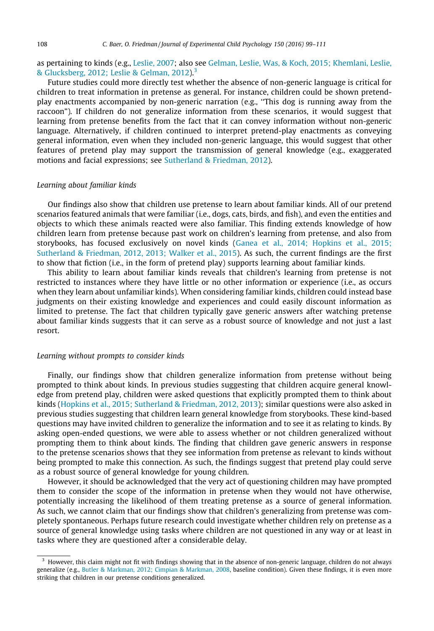as pertaining to kinds (e.g., [Leslie, 2007;](#page-12-0) also see [Gelman, Leslie, Was, & Koch, 2015; Khemlani, Leslie,](#page-11-0) [& Glucksberg, 2012; Leslie & Gelman, 2012](#page-11-0)).3

Future studies could more directly test whether the absence of non-generic language is critical for children to treat information in pretense as general. For instance, children could be shown pretendplay enactments accompanied by non-generic narration (e.g., ''This dog is running away from the raccoon"). If children do not generalize information from these scenarios, it would suggest that learning from pretense benefits from the fact that it can convey information without non-generic language. Alternatively, if children continued to interpret pretend-play enactments as conveying general information, even when they included non-generic language, this would suggest that other features of pretend play may support the transmission of general knowledge (e.g., exaggerated motions and facial expressions; see [Sutherland & Friedman, 2012\)](#page-12-0).

#### Learning about familiar kinds

Our findings also show that children use pretense to learn about familiar kinds. All of our pretend scenarios featured animals that were familiar (i.e., dogs, cats, birds, and fish), and even the entities and objects to which these animals reacted were also familiar. This finding extends knowledge of how children learn from pretense because past work on children's learning from pretense, and also from storybooks, has focused exclusively on novel kinds [\(Ganea et al., 2014; Hopkins et al., 2015;](#page-11-0) [Sutherland & Friedman, 2012, 2013; Walker et al., 2015](#page-11-0)). As such, the current findings are the first to show that fiction (i.e., in the form of pretend play) supports learning about familiar kinds.

This ability to learn about familiar kinds reveals that children's learning from pretense is not restricted to instances where they have little or no other information or experience (i.e., as occurs when they learn about unfamiliar kinds). When considering familiar kinds, children could instead base judgments on their existing knowledge and experiences and could easily discount information as limited to pretense. The fact that children typically gave generic answers after watching pretense about familiar kinds suggests that it can serve as a robust source of knowledge and not just a last resort.

### Learning without prompts to consider kinds

Finally, our findings show that children generalize information from pretense without being prompted to think about kinds. In previous studies suggesting that children acquire general knowledge from pretend play, children were asked questions that explicitly prompted them to think about kinds [\(Hopkins et al., 2015; Sutherland & Friedman, 2012, 2013](#page-11-0)); similar questions were also asked in previous studies suggesting that children learn general knowledge from storybooks. These kind-based questions may have invited children to generalize the information and to see it as relating to kinds. By asking open-ended questions, we were able to assess whether or not children generalized without prompting them to think about kinds. The finding that children gave generic answers in response to the pretense scenarios shows that they see information from pretense as relevant to kinds without being prompted to make this connection. As such, the findings suggest that pretend play could serve as a robust source of general knowledge for young children.

However, it should be acknowledged that the very act of questioning children may have prompted them to consider the scope of the information in pretense when they would not have otherwise, potentially increasing the likelihood of them treating pretense as a source of general information. As such, we cannot claim that our findings show that children's generalizing from pretense was completely spontaneous. Perhaps future research could investigate whether children rely on pretense as a source of general knowledge using tasks where children are not questioned in any way or at least in tasks where they are questioned after a considerable delay.

 $3$  However, this claim might not fit with findings showing that in the absence of non-generic language, children do not always generalize (e.g., [Butler & Markman, 2012; Cimpian & Markman, 2008,](#page-11-0) baseline condition). Given these findings, it is even more striking that children in our pretense conditions generalized.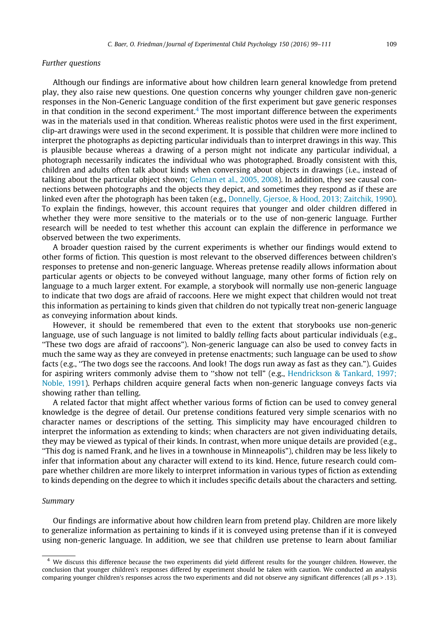#### Further questions

Although our findings are informative about how children learn general knowledge from pretend play, they also raise new questions. One question concerns why younger children gave non-generic responses in the Non-Generic Language condition of the first experiment but gave generic responses in that condition in the second experiment.<sup>4</sup> The most important difference between the experiments was in the materials used in that condition. Whereas realistic photos were used in the first experiment, clip-art drawings were used in the second experiment. It is possible that children were more inclined to interpret the photographs as depicting particular individuals than to interpret drawings in this way. This is plausible because whereas a drawing of a person might not indicate any particular individual, a photograph necessarily indicates the individual who was photographed. Broadly consistent with this, children and adults often talk about kinds when conversing about objects in drawings (i.e., instead of talking about the particular object shown; [Gelman et al., 2005, 2008](#page-11-0)). In addition, they see causal connections between photographs and the objects they depict, and sometimes they respond as if these are linked even after the photograph has been taken (e.g., [Donnelly, Gjersoe, & Hood, 2013; Zaitchik, 1990](#page-11-0)). To explain the findings, however, this account requires that younger and older children differed in whether they were more sensitive to the materials or to the use of non-generic language. Further research will be needed to test whether this account can explain the difference in performance we observed between the two experiments.

A broader question raised by the current experiments is whether our findings would extend to other forms of fiction. This question is most relevant to the observed differences between children's responses to pretense and non-generic language. Whereas pretense readily allows information about particular agents or objects to be conveyed without language, many other forms of fiction rely on language to a much larger extent. For example, a storybook will normally use non-generic language to indicate that two dogs are afraid of raccoons. Here we might expect that children would not treat this information as pertaining to kinds given that children do not typically treat non-generic language as conveying information about kinds.

However, it should be remembered that even to the extent that storybooks use non-generic language, use of such language is not limited to baldly telling facts about particular individuals (e.g., ''These two dogs are afraid of raccoons"). Non-generic language can also be used to convey facts in much the same way as they are conveyed in pretense enactments; such language can be used to show facts (e.g., ''The two dogs see the raccoons. And look! The dogs run away as fast as they can."). Guides for aspiring writers commonly advise them to "show not tell" (e.g., [Hendrickson & Tankard, 1997;](#page-11-0) [Noble, 1991\)](#page-11-0). Perhaps children acquire general facts when non-generic language conveys facts via showing rather than telling.

A related factor that might affect whether various forms of fiction can be used to convey general knowledge is the degree of detail. Our pretense conditions featured very simple scenarios with no character names or descriptions of the setting. This simplicity may have encouraged children to interpret the information as extending to kinds; when characters are not given individuating details, they may be viewed as typical of their kinds. In contrast, when more unique details are provided (e.g., ''This dog is named Frank, and he lives in a townhouse in Minneapolis"), children may be less likely to infer that information about any character will extend to its kind. Hence, future research could compare whether children are more likely to interpret information in various types of fiction as extending to kinds depending on the degree to which it includes specific details about the characters and setting.

#### Summary

Our findings are informative about how children learn from pretend play. Children are more likely to generalize information as pertaining to kinds if it is conveyed using pretense than if it is conveyed using non-generic language. In addition, we see that children use pretense to learn about familiar

<sup>&</sup>lt;sup>4</sup> We discuss this difference because the two experiments did yield different results for the younger children. However, the conclusion that younger children's responses differed by experiment should be taken with caution. We conducted an analysis comparing younger children's responses across the two experiments and did not observe any significant differences (all ps > .13).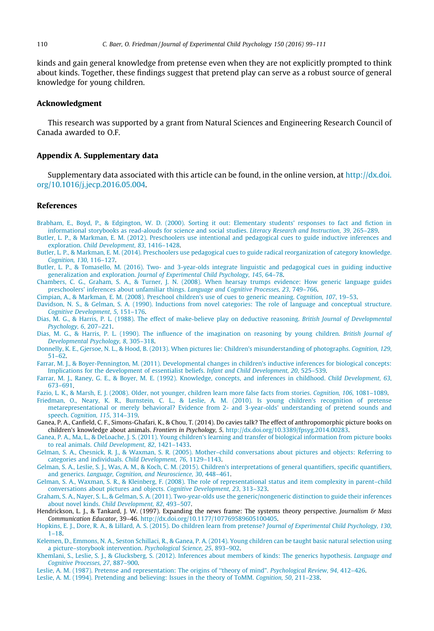<span id="page-11-0"></span>kinds and gain general knowledge from pretense even when they are not explicitly prompted to think about kinds. Together, these findings suggest that pretend play can serve as a robust source of general knowledge for young children.

#### Acknowledgment

This research was supported by a grant from Natural Sciences and Engineering Research Council of Canada awarded to O.F.

## Appendix A. Supplementary data

Supplementary data associated with this article can be found, in the online version, at  $http://dx.doi.$ [org/10.1016/j.jecp.2016.05.004.](http://dx.doi.org/10.1016/j.jecp.2016.05.004)

## References

- [Brabham, E., Boyd, P., & Edgington, W. D. \(2000\). Sorting it out: Elementary students' responses to fact and fiction in](http://refhub.elsevier.com/S0022-0965(16)30024-8/h0005) [informational storybooks as read-alouds for science and social studies.](http://refhub.elsevier.com/S0022-0965(16)30024-8/h0005) Literacy Research and Instruction, 39, 265–289.
- [Butler, L. P., & Markman, E. M. \(2012\). Preschoolers use intentional and pedagogical cues to guide inductive inferences and](http://refhub.elsevier.com/S0022-0965(16)30024-8/h0010) exploration. [Child Development, 83](http://refhub.elsevier.com/S0022-0965(16)30024-8/h0010), 1416–1428.
- [Butler, L. P., & Markman, E. M. \(2014\). Preschoolers use pedagogical cues to guide radical reorganization of category knowledge.](http://refhub.elsevier.com/S0022-0965(16)30024-8/h0015) [Cognition, 130](http://refhub.elsevier.com/S0022-0965(16)30024-8/h0015), 116–127.
- [Butler, L. P., & Tomasello, M. \(2016\). Two- and 3-year-olds integrate linguistic and pedagogical cues in guiding inductive](http://refhub.elsevier.com/S0022-0965(16)30024-8/h0020) generalization and exploration. [Journal of Experimental Child Psychology, 145](http://refhub.elsevier.com/S0022-0965(16)30024-8/h0020), 64–78.

[Chambers, C. G., Graham, S. A., & Turner, J. N. \(2008\). When hearsay trumps evidence: How generic language guides](http://refhub.elsevier.com/S0022-0965(16)30024-8/h0025) [preschoolers' inferences about unfamiliar things.](http://refhub.elsevier.com/S0022-0965(16)30024-8/h0025) Language and Cognitive Processes, 23, 749–766.

[Cimpian, A., & Markman, E. M. \(2008\). Preschool children's use of cues to generic meaning.](http://refhub.elsevier.com/S0022-0965(16)30024-8/h0030) Cognition, 107, 19–53.

- [Davidson, N. S., & Gelman, S. A. \(1990\). Inductions from novel categories: The role of language and conceptual structure.](http://refhub.elsevier.com/S0022-0965(16)30024-8/h0035) [Cognitive Development, 5](http://refhub.elsevier.com/S0022-0965(16)30024-8/h0035), 151–176.
- [Dias, M. G., & Harris, P. L. \(1988\). The effect of make-believe play on deductive reasoning.](http://refhub.elsevier.com/S0022-0965(16)30024-8/h0040) British Journal of Developmental [Psychology, 6](http://refhub.elsevier.com/S0022-0965(16)30024-8/h0040), 207–221.
- [Dias, M. G., & Harris, P. L. \(1990\). The influence of the imagination on reasoning by young children.](http://refhub.elsevier.com/S0022-0965(16)30024-8/h0045) British Journal of [Developmental Psychology, 8](http://refhub.elsevier.com/S0022-0965(16)30024-8/h0045), 305–318.
- [Donnelly, K. E., Gjersoe, N. L., & Hood, B. \(2013\). When pictures lie: Children's misunderstanding of photographs.](http://refhub.elsevier.com/S0022-0965(16)30024-8/h0050) Cognition, 129, [51–62.](http://refhub.elsevier.com/S0022-0965(16)30024-8/h0050)
- [Farrar, M. J., & Boyer-Pennington, M. \(2011\). Developmental changes in children's inductive inferences for biological concepts:](http://refhub.elsevier.com/S0022-0965(16)30024-8/h0055) [Implications for the development of essentialist beliefs.](http://refhub.elsevier.com/S0022-0965(16)30024-8/h0055) Infant and Child Development, 20, 525–539.
- [Farrar, M. J., Raney, G. E., & Boyer, M. E. \(1992\). Knowledge, concepts, and inferences in childhood.](http://refhub.elsevier.com/S0022-0965(16)30024-8/h0060) Child Development, 63, [673–691.](http://refhub.elsevier.com/S0022-0965(16)30024-8/h0060)

[Fazio, L. K., & Marsh, E. J. \(2008\). Older, not younger, children learn more false facts from stories.](http://refhub.elsevier.com/S0022-0965(16)30024-8/h0065) Cognition, 106, 1081–1089.

- [Friedman, O., Neary, K. R., Burnstein, C. L., & Leslie, A. M. \(2010\). Is young children's recognition of pretense](http://refhub.elsevier.com/S0022-0965(16)30024-8/h0070) [metarepresentational or merely behavioral? Evidence from 2- and 3-year-olds' understanding of pretend sounds and](http://refhub.elsevier.com/S0022-0965(16)30024-8/h0070) speech. [Cognition, 115](http://refhub.elsevier.com/S0022-0965(16)30024-8/h0070), 314–319.
- Ganea, P. A., Canfield, C. F., Simons-Ghafari, K., & Chou, T. (2014). Do cavies talk? The effect of anthropomorphic picture books on children's knowledge about animals. Frontiers in Psychology, 5. [http://dx.doi.org/10.3389/fpsyg.2014.00283.](http://dx.doi.org/10.3389/fpsyg.2014.00283)
- [Ganea, P. A., Ma, L., & DeLoache, J. S. \(2011\). Young children's learning and transfer of biological information from picture books](http://refhub.elsevier.com/S0022-0965(16)30024-8/h0080) to real animals. [Child Development, 82](http://refhub.elsevier.com/S0022-0965(16)30024-8/h0080), 1421–1433.
- [Gelman, S. A., Chesnick, R. J., & Waxman, S. R. \(2005\). Mother–child conversations about pictures and objects: Referring to](http://refhub.elsevier.com/S0022-0965(16)30024-8/h0085) [categories and individuals.](http://refhub.elsevier.com/S0022-0965(16)30024-8/h0085) Child Development, 76, 1129–1143.
- [Gelman, S. A., Leslie, S. J., Was, A. M., & Koch, C. M. \(2015\). Children's interpretations of general quantifiers, specific quantifiers,](http://refhub.elsevier.com/S0022-0965(16)30024-8/h0090) and generics. [Language, Cognition, and Neuroscience, 30](http://refhub.elsevier.com/S0022-0965(16)30024-8/h0090), 448–461.
- [Gelman, S. A., Waxman, S. R., & Kleinberg, F. \(2008\). The role of representational status and item complexity in parent–child](http://refhub.elsevier.com/S0022-0965(16)30024-8/h0095) [conversations about pictures and objects.](http://refhub.elsevier.com/S0022-0965(16)30024-8/h0095) Cognitive Development, 23, 313–323.
- [Graham, S. A., Nayer, S. L., & Gelman, S. A. \(2011\). Two-year-olds use the generic/nongeneric distinction to guide their inferences](http://refhub.elsevier.com/S0022-0965(16)30024-8/h0100) about novel kinds. [Child Development, 82](http://refhub.elsevier.com/S0022-0965(16)30024-8/h0100), 493–507.
- Hendrickson, L. J., & Tankard, J. W. (1997). Expanding the news frame: The systems theory perspective. Journalism & Mass Communication Educator, 39–46. [http://dx.doi.org/10.1177/107769589605100405.](http://dx.doi.org/10.1177/107769589605100405)
- [Hopkins, E. J., Dore, R. A., & Lillard, A. S. \(2015\). Do children learn from pretense?](http://refhub.elsevier.com/S0022-0965(16)30024-8/h0110) Journal of Experimental Child Psychology, 130, [1–18](http://refhub.elsevier.com/S0022-0965(16)30024-8/h0110).
- [Kelemen, D., Emmons, N. A., Seston Schillaci, R., & Ganea, P. A. \(2014\). Young children can be taught basic natural selection using](http://refhub.elsevier.com/S0022-0965(16)30024-8/h0115) [a picture–storybook intervention.](http://refhub.elsevier.com/S0022-0965(16)30024-8/h0115) Psychological Science, 25, 893–902.
- [Khemlani, S., Leslie, S. J., & Glucksberg, S. \(2012\). Inferences about members of kinds: The generics hypothesis.](http://refhub.elsevier.com/S0022-0965(16)30024-8/h0120) Language and [Cognitive Processes, 27](http://refhub.elsevier.com/S0022-0965(16)30024-8/h0120), 887–900.
- [Leslie, A. M. \(1987\). Pretense and representation: The origins of ''theory of mind](http://refhub.elsevier.com/S0022-0965(16)30024-8/h0125)". [Psychological Review, 94](http://refhub.elsevier.com/S0022-0965(16)30024-8/h0125), 412–426.
- [Leslie, A. M. \(1994\). Pretending and believing: Issues in the theory of ToMM.](http://refhub.elsevier.com/S0022-0965(16)30024-8/h0130) Cognition, 50, 211–238.